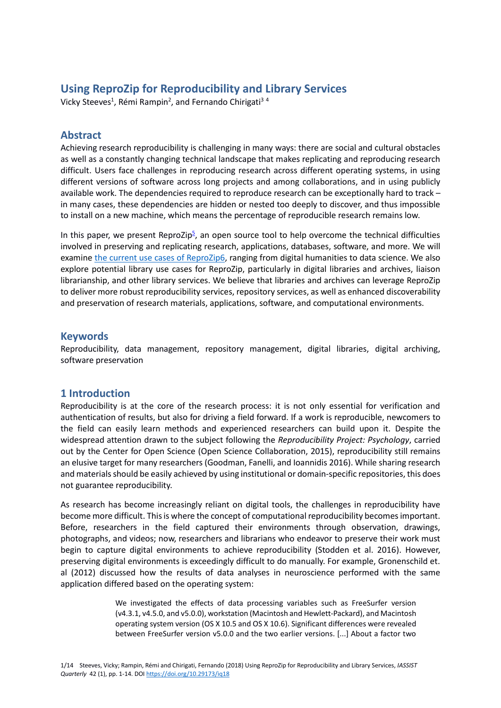# **Using ReproZip for Reproducibility and Library Services**

Vicky Steeves<sup>1</sup>, Rémi Rampin<sup>2</sup>, and Fernando Chirigati<sup>34</sup>

## **Abstract**

Achieving research reproducibility is challenging in many ways: there are social and cultural obstacles as well as a constantly changing technical landscape that makes replicating and reproducing research difficult. Users face challenges in reproducing research across different operating systems, in using different versions of software across long projects and among collaborations, and in using publicly available work. The dependencies required to reproduce research can be exceptionally hard to track – in many cases, these dependencies are hidden or nested too deeply to discover, and thus impossible to install on a new machine, which means the percentage of reproducible research remains low.

In this paper, we present [ReproZip](https://reprozip.org/)<sup>5</sup>, an open source tool to help overcome the technical difficulties involved in preserving and replicating research, applications, databases, software, and more. We will examine [the current use cases of ReproZip](https://examples.reprozip.org/)6[,](https://reprozip.org/) [r](https://reprozip.org/)anging from digital humanities to data science. We also explore potential library use cases for ReproZip, particularly in digital libraries and archives, liaison librarianship, and other library services. We believe that libraries and archives can leverage ReproZip to deliver more robust reproducibility services, repository services, as well as enhanced discoverability and preservation of research materials, applications, software, and computational environments.

### **Keywords**

Reproducibility, data management, repository management, digital libraries, digital archiving, software preservation

### **1 Introduction**

Reproducibility is at the core of the research process: it is not only essential for verification and authentication of results, but also for driving a field forward. If a work is reproducible, newcomers to the field can easily learn methods and experienced researchers can build upon it. Despite the widespread attention drawn to the subject following the *Reproducibility Project: Psychology*, carried out by the Center for Open Science (Open Science Collaboration, 2015), reproducibility still remains an elusive target for many researchers (Goodman, Fanelli, and Ioannidis 2016). While sharing research and materials should be easily achieved by using institutional or domain-specific repositories, this does not guarantee reproducibility.

As research has become increasingly reliant on digital tools, the challenges in reproducibility have become more difficult. This is where the concept of computational reproducibility becomes important. Before, researchers in the field captured their environments through observation, drawings, photographs, and videos; now, researchers and librarians who endeavor to preserve their work must begin to capture digital environments to achieve reproducibility (Stodden et al. 2016). However, preserving digital environments is exceedingly difficult to do manually. For example, Gronenschild et. al (2012) discussed how the results of data analyses in neuroscience performed with the same application differed based on the operating system:

> We investigated the effects of data processing variables such as FreeSurfer version (v4.3.1, v4.5.0, and v5.0.0), workstation (Macintosh and Hewlett-Packard), and Macintosh operating system version (OS X 10.5 and OS X 10.6). Significant differences were revealed between FreeSurfer version v5.0.0 and the two earlier versions. [...] About a factor two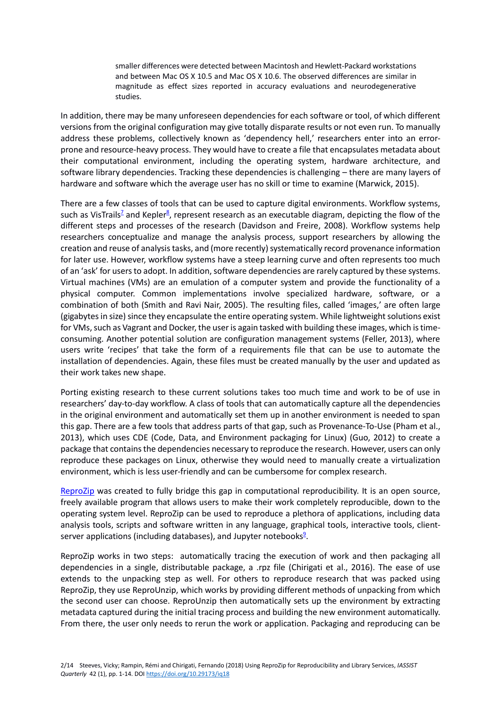smaller differences were detected between Macintosh and Hewlett-Packard workstations and between Mac OS X 10.5 and Mac OS X 10.6. The observed differences are similar in magnitude as effect sizes reported in accuracy evaluations and neurodegenerative studies.

In addition, there may be many unforeseen dependencies for each software or tool, of which different versions from the original configuration may give totally disparate results or not even run. To manually address these problems, collectively known as 'dependency hell,' researchers enter into an errorprone and resource-heavy process. They would have to create a file that encapsulates metadata about their computational environment, including the operating system, hardware architecture, and software library dependencies. Tracking these dependencies is challenging – there are many layers of hardware and software which the average user has no skill or time to examine (Marwick, 2015).

There are a few classes of tools that can be used to capture digital environments. Workflow systems, such as [VisTrails](https://www.vistrails.org/)<sup>z</sup> and [Kepler](https://kepler-project.org/)<sup>g</sup>, represent research as an executable diagram, depicting the flow of the different steps and processes of the research (Davidson and Freire, 2008). Workflow systems help researchers conceptualize and manage the analysis process, support researchers by allowing the creation and reuse of analysis tasks, and (more recently) systematically record provenance information for later use. However, workflow systems have a steep learning curve and often represents too much of an 'ask' for users to adopt. In addition, software dependencies are rarely captured by these systems. Virtual machines (VMs) are an emulation of a computer system and provide the functionality of a physical computer. Common implementations involve specialized hardware, software, or a combination of both (Smith and Ravi Nair, 2005). The resulting files, called 'images,' are often large (gigabytes in size) since they encapsulate the entire operating system. While lightweight solutions exist for VMs, such as Vagrant and Docker, the user is again tasked with building these images, which is timeconsuming. Another potential solution are configuration management systems (Feller, 2013), where users write 'recipes' that take the form of a requirements file that can be use to automate the installation of dependencies. Again, these files must be created manually by the user and updated as their work takes new shape.

Porting existing research to these current solutions takes too much time and work to be of use in researchers' day-to-day workflow. A class of tools that can automatically capture all the dependencies in the original environment and automatically set them up in another environment is needed to span this gap. There are a few tools that address parts of that gap, such as Provenance-To-Use (Pham et al., 2013), which uses CDE (Code, Data, and Environment packaging for Linux) (Guo, 2012) to create a package that contains the dependencies necessary to reproduce the research. However, users can only reproduce these packages on Linux, otherwise they would need to manually create a virtualization environment, which is less user-friendly and can be cumbersome for complex research.

[ReproZip](https://reprozip.org/) was created to fully bridge this gap in computational reproducibility. It is an open source, freely available program that allows users to make their work completely reproducible, down to the operating system level. ReproZip can be used to reproduce a plethora of applications, including data analysis tools, scripts and software written in any language, graphical tools, interactive tools, client-server applications (including databases), and [Jupyter notebooks](https://ipython.org/notebook.html)<sup>9</sup>.

ReproZip works in two steps: automatically tracing the execution of work and then packaging all dependencies in a single, distributable package, a .rpz file (Chirigati et al., 2016). The ease of use extends to the unpacking step as well. For others to reproduce research that was packed using ReproZip, they use ReproUnzip, which works by providing different methods of unpacking from which the second user can choose. ReproUnzip then automatically sets up the environment by extracting metadata captured during the initial tracing process and building the new environment automatically. From there, the user only needs to rerun the work or application. Packaging and reproducing can be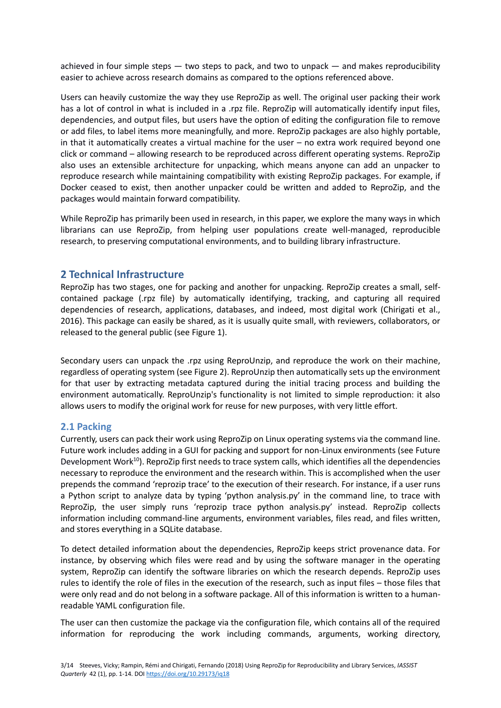achieved in four simple steps  $-$  two steps to pack, and two to unpack  $-$  and makes reproducibility easier to achieve across research domains as compared to the options referenced above.

Users can heavily customize the way they use ReproZip as well. The original user packing their work has a lot of control in what is included in a .rpz file. ReproZip will automatically identify input files, dependencies, and output files, but users have the option of editing the configuration file to remove or add files, to label items more meaningfully, and more. ReproZip packages are also highly portable, in that it automatically creates a virtual machine for the user – no extra work required beyond one click or command – allowing research to be reproduced across different operating systems. ReproZip also uses an extensible architecture for unpacking, which means anyone can add an unpacker to reproduce research while maintaining compatibility with existing ReproZip packages. For example, if Docker ceased to exist, then another unpacker could be written and added to ReproZip, and the packages would maintain forward compatibility.

While ReproZip has primarily been used in research, in this paper, we explore the many ways in which librarians can use ReproZip, from helping user populations create well-managed, reproducible research, to preserving computational environments, and to building library infrastructure.

# **2 Technical Infrastructure**

ReproZip has two stages, one for packing and another for unpacking. ReproZip creates a small, selfcontained package (.rpz file) by automatically identifying, tracking, and capturing all required dependencies of research, applications, databases, and indeed, most digital work (Chirigati et al., 2016). This package can easily be shared, as it is usually quite small, with reviewers, collaborators, or released to the general public (see Figure 1).

Secondary users can unpack the .rpz using ReproUnzip, and reproduce the work on their machine, regardless of operating system (see Figure 2). ReproUnzip then automatically sets up the environment for that user by extracting metadata captured during the initial tracing process and building the environment automatically. ReproUnzip's functionality is not limited to simple reproduction: it also allows users to modify the original work for reuse for new purposes, with very little effort.

### **2.1 Packing**

Currently, users can pack their work using ReproZip on Linux operating systems via the command line. Future work includes adding in a GUI for packing and support for non-Linux environments (see Future Development Work<sup>10</sup>). ReproZip first needs to trace system calls, which identifies all the dependencies necessary to reproduce the environment and the research within. This is accomplished when the user prepends the command 'reprozip trace' to the execution of their research. For instance, if a user runs a Python script to analyze data by typing 'python analysis.py' in the command line, to trace with ReproZip, the user simply runs 'reprozip trace python analysis.py' instead. ReproZip collects information including command-line arguments, environment variables, files read, and files written, and stores everything in a SQLite database.

To detect detailed information about the dependencies, ReproZip keeps strict provenance data. For instance, by observing which files were read and by using the software manager in the operating system, ReproZip can identify the software libraries on which the research depends. ReproZip uses rules to identify the role of files in the execution of the research, such as input files – those files that were only read and do not belong in a software package. All of this information is written to a humanreadable YAML configuration file.

The user can then customize the package via the configuration file, which contains all of the required information for reproducing the work including commands, arguments, working directory,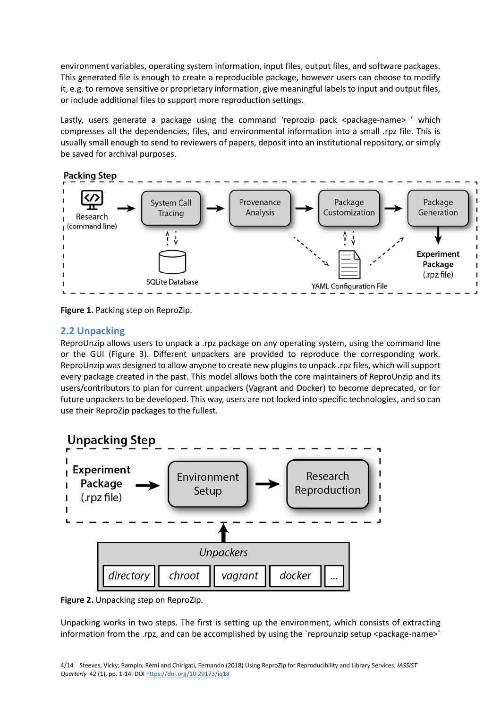environment variables, operating system information, input files, output files, and software packages. This generated file is enough to create a reproducible package, however users can choose to modify it, e.g. to remove sensitive or proprietary information, give meaningful labels to input and output files, or include additional files to support more reproduction settings.

Lastly, users generate a package using the command 'reprozip pack <package-name> ' which compresses all the dependencies, files, and environmental information into a small .rpz file. This is usually small enough to send to reviewers of papers, deposit into an institutional repository, or simply be saved for archival purposes.



**Figure 1.** Packing step on ReproZip.

# **2.2 Unpacking**

ReproUnzip allows users to unpack a .rpz package on any operating system, using the command line or the GUI (Figure 3). Different unpackers are provided to reproduce the corresponding work. ReproUnzip was designed to allow anyone to create new plugins to unpack .rpz files, which will support every package created in the past. This model allows both the core maintainers of ReproUnzip and its users/contributors to plan for current unpackers (Vagrant and Docker) to become deprecated, or for future unpackers to be developed. This way, users are not locked into specific technologies, and so can use their ReproZip packages to the fullest.



**Figure 2.** Unpacking step on ReproZip.

Unpacking works in two steps. The first is setting up the environment, which consists of extracting information from the .rpz, and can be accomplished by using the 'reprounzip setup <package-name>'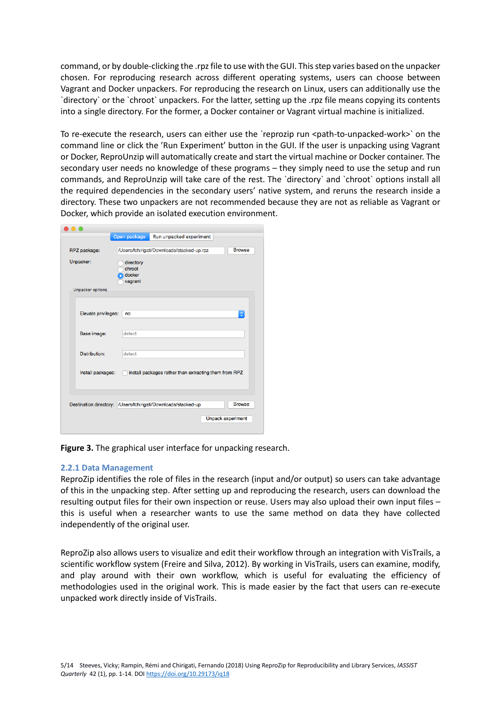command, or by double-clicking the .rpz file to use with the GUI. This step varies based on the unpacker chosen. For reproducing research across different operating systems, users can choose between Vagrant and Docker unpackers. For reproducing the research on Linux, users can additionally use the `directory` or the `chroot` unpackers. For the latter, setting up the .rpz file means copying its contents into a single directory. For the former, a Docker container or Vagrant virtual machine is initialized.

To re-execute the research, users can either use the `reprozip run <path-to-unpacked-work>` on the command line or click the 'Run Experiment' button in the GUI. If the user is unpacking using Vagrant or Docker, ReproUnzip will automatically create and start the virtual machine or Docker container. The secondary user needs no knowledge of these programs – they simply need to use the setup and run commands, and ReproUnzip will take care of the rest. The `directory` and `chroot` options install all the required dependencies in the secondary users' native system, and reruns the research inside a directory. These two unpackers are not recommended because they are not as reliable as Vagrant or Docker, which provide an isolated execution environment.

|                     | Open package                             | Run unpacked experiment                                       |                          |
|---------------------|------------------------------------------|---------------------------------------------------------------|--------------------------|
| RPZ package:        |                                          | /Users/fchirigati/Downloads/stacked-up.rpz                    | <b>Browse</b>            |
| Unpacker:           | directory<br>chroot<br>docker<br>vagrant |                                                               |                          |
| Unpacker options    |                                          |                                                               |                          |
| Elevate privileges: | no                                       |                                                               | ¢                        |
| Base image:         | detect                                   |                                                               |                          |
| Distribution:       | detect                                   |                                                               |                          |
| Install packages:   |                                          | install packages rather than extracting them from RPZ         |                          |
|                     |                                          |                                                               |                          |
|                     |                                          | Destination directory: /Users/fchirigati/Downloads/stacked-up | <b>Browse</b>            |
|                     |                                          |                                                               | <b>Unpack experiment</b> |
|                     |                                          |                                                               |                          |

**Figure 3.** The graphical user interface for unpacking research.

#### **2.2.1 Data Management**

ReproZip identifies the role of files in the research (input and/or output) so users can take advantage of this in the unpacking step. After setting up and reproducing the research, users can download the resulting output files for their own inspection or reuse. Users may also upload their own input files – this is useful when a researcher wants to use the same method on data they have collected independently of the original user.

ReproZip also allows users to visualize and edit their workflow through an integration with VisTrails, a scientific workflow system (Freire and Silva, 2012). By working in VisTrails, users can examine, modify, and play around with their own workflow, which is useful for evaluating the efficiency of methodologies used in the original work. This is made easier by the fact that users can re-execute unpacked work directly inside of VisTrails.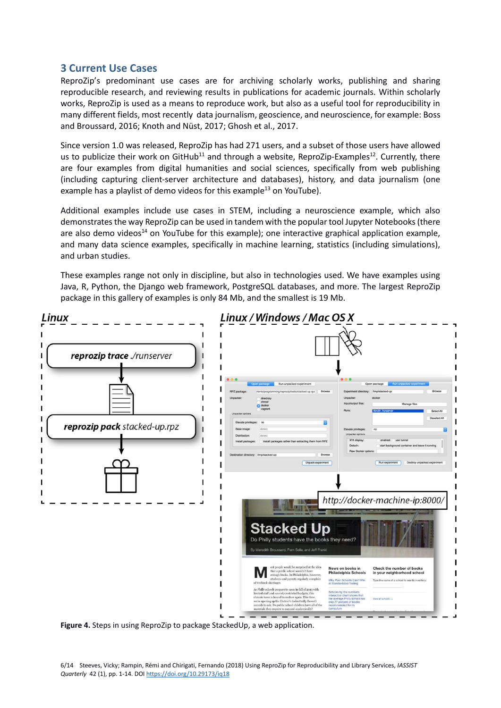# **3 Current Use Cases**

ReproZip's predominant use cases are for archiving scholarly works, publishing and sharing reproducible research, and reviewing results in publications for academic journals. Within scholarly works, ReproZip is used as a means to reproduce work, but also as a useful tool for reproducibility in many different fields, most recently data journalism, geoscience, and neuroscience, for example: Boss and Broussard, 2016; Knoth and Nüst, 2017; Ghosh et al., 2017.

Since version 1.0 was released, ReproZip has had 271 users, and a subset of those users have allowed us to publicize their work on [GitHub](https://github.com/ViDA-NYU/reprozip-examples)<sup>11</sup> and through a website, [ReproZip-Examples](https://examples.reprozip.org/)<sup>12</sup>. Currently, there are four examples from digital humanities and social sciences, specifically from web publishing (including capturing client-server architecture and databases), history, and data journalism (one example has a [playlist of demo videos for this example](https://www.youtube.com/watch?v=SoE2nEJWylw&list=PLjgZ3v4gFxpXdPRBaFTh42w3HRMmX2WfD)<sup>13</sup> on YouTube).

Additional examples include use cases in STEM, including a neuroscience example, which also demonstrates the way ReproZip can be used in tandem with the popular tool Jupyter Notebooks (there are also [demo videos](https://www.youtube.com/watch?v=gs4s2JH8Yw4&list=PLjgZ3v4gFxpW_lesrw1ZE2Ql1yXDsgzki)<sup>14</sup> on YouTube for this example); one interactive graphical application example, and many data science examples, specifically in machine learning, statistics (including simulations), and urban studies.

These examples range not only in discipline, but also in technologies used. We have examples using Java, R, Python, the Django web framework, PostgreSQL databases, and more. The largest ReproZip package in this gallery of examples is only 84 Mb, and the smallest is 19 Mb.



**Figure 4.** Steps in using ReproZip to package StackedUp, a web application.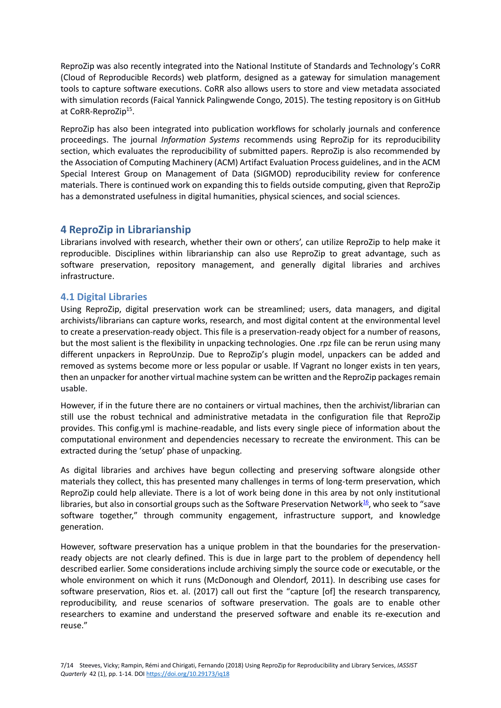ReproZip was also recently integrated into the National Institute of Standards and Technology's CoRR (Cloud of Reproducible Records) web platform, designed as a gateway for simulation management tools to capture software executions. CoRR also allows users to store and view metadata associated with simulation records (Faical Yannick Palingwende Congo, 2015). The testing repository is on GitHub at [CoRR-ReproZip](https://github.com/usnistgov/corr-reprozip)<sup>15</sup>.

ReproZip has also been integrated into publication workflows for scholarly journals and conference proceedings. The journal *Information Systems* recommends using ReproZip for its reproducibility section, which evaluates the reproducibility of submitted papers. ReproZip is also recommended by the Association of Computing Machinery (ACM) Artifact Evaluation Process guidelines, and in the ACM Special Interest Group on Management of Data (SIGMOD) reproducibility review for conference materials. There is continued work on expanding this to fields outside computing, given that ReproZip has a demonstrated usefulness in digital humanities, physical sciences, and social sciences.

# **4 ReproZip in Librarianship**

Librarians involved with research, whether their own or others', can utilize ReproZip to help make it reproducible. Disciplines within librarianship can also use ReproZip to great advantage, such as software preservation, repository management, and generally digital libraries and archives infrastructure.

### **4.1 Digital Libraries**

Using ReproZip, digital preservation work can be streamlined; users, data managers, and digital archivists/librarians can capture works, research, and most digital content at the environmental level to create a preservation-ready object. This file is a preservation-ready object for a number of reasons, but the most salient is the flexibility in unpacking technologies. One .rpz file can be rerun using many different unpackers in ReproUnzip. Due to ReproZip's plugin model, unpackers can be added and removed as systems become more or less popular or usable. If Vagrant no longer exists in ten years, then an unpacker for another virtual machine system can be written and the ReproZip packages remain usable.

However, if in the future there are no containers or virtual machines, then the archivist/librarian can still use the robust technical and administrative metadata in the configuration file that ReproZip provides. This config.yml is machine-readable, and lists every single piece of information about the computational environment and dependencies necessary to recreate the environment. This can be extracted during the 'setup' phase of unpacking.

As digital libraries and archives have begun collecting and preserving software alongside other materials they collect, this has presented many challenges in terms of long-term preservation, which ReproZip could help alleviate. There is a lot of work being done in this area by not only institutional libraries, but also in consortial groups such as th[e Software Preservation Network](http://www.softwarepreservationnetwork.org/)<sup>16</sup>, who seek to "save software together," through community engagement, infrastructure support, and knowledge generation.

However, software preservation has a unique problem in that the boundaries for the preservationready objects are not clearly defined. This is due in large part to the problem of dependency hell described earlier. Some considerations include archiving simply the source code or executable, or the whole environment on which it runs (McDonough and Olendorf, 2011). In describing use cases for software preservation, Rios et. al. (2017) call out first the "capture [of] the research transparency, reproducibility, and reuse scenarios of software preservation. The goals are to enable other researchers to examine and understand the preserved software and enable its re-execution and reuse."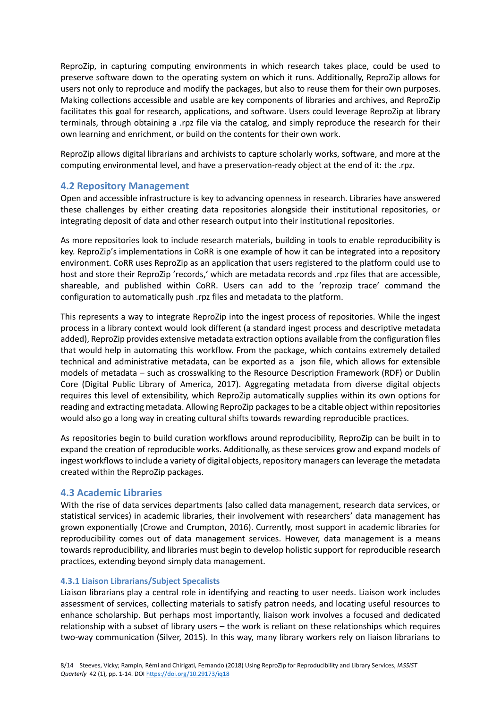ReproZip, in capturing computing environments in which research takes place, could be used to preserve software down to the operating system on which it runs. Additionally, ReproZip allows for users not only to reproduce and modify the packages, but also to reuse them for their own purposes. Making collections accessible and usable are key components of libraries and archives, and ReproZip facilitates this goal for research, applications, and software. Users could leverage ReproZip at library terminals, through obtaining a .rpz file via the catalog, and simply reproduce the research for their own learning and enrichment, or build on the contents for their own work.

ReproZip allows digital librarians and archivists to capture scholarly works, software, and more at the computing environmental level, and have a preservation-ready object at the end of it: the .rpz.

#### **4.2 Repository Management**

Open and accessible infrastructure is key to advancing openness in research. Libraries have answered these challenges by either creating data repositories alongside their institutional repositories, or integrating deposit of data and other research output into their institutional repositories.

As more repositories look to include research materials, building in tools to enable reproducibility is key. ReproZip's implementations in CoRR is one example of how it can be integrated into a repository environment. CoRR uses ReproZip as an application that users registered to the platform could use to host and store their ReproZip 'records,' which are metadata records and .rpz files that are accessible, shareable, and published within CoRR. Users can add to the 'reprozip trace' command the configuration to automatically push .rpz files and metadata to the platform.

This represents a way to integrate ReproZip into the ingest process of repositories. While the ingest process in a library context would look different (a standard ingest process and descriptive metadata added), ReproZip provides extensive metadata extraction options available from the configuration files that would help in automating this workflow. From the package, which contains extremely detailed technical and administrative metadata, can be exported as a json file, which allows for extensible models of metadata – such as crosswalking to the Resource Description Framework (RDF) or Dublin Core (Digital Public Library of America, 2017). Aggregating metadata from diverse digital objects requires this level of extensibility, which ReproZip automatically supplies within its own options for reading and extracting metadata. Allowing ReproZip packages to be a citable object within repositories would also go a long way in creating cultural shifts towards rewarding reproducible practices.

As repositories begin to build curation workflows around reproducibility, ReproZip can be built in to expand the creation of reproducible works. Additionally, as these services grow and expand models of ingest workflows to include a variety of digital objects, repository managers can leverage the metadata created within the ReproZip packages.

#### **4.3 Academic Libraries**

With the rise of data services departments (also called data management, research data services, or statistical services) in academic libraries, their involvement with researchers' data management has grown exponentially (Crowe and Crumpton, 2016). Currently, most support in academic libraries for reproducibility comes out of data management services. However, data management is a means towards reproducibility, and libraries must begin to develop holistic support for reproducible research practices, extending beyond simply data management.

#### **4.3.1 Liaison Librarians/Subject Specalists**

Liaison librarians play a central role in identifying and reacting to user needs. Liaison work includes assessment of services, collecting materials to satisfy patron needs, and locating useful resources to enhance scholarship. But perhaps most importantly, liaison work involves a focused and dedicated relationship with a subset of library users – the work is reliant on these relationships which requires two-way communication (Silver, 2015). In this way, many library workers rely on liaison librarians to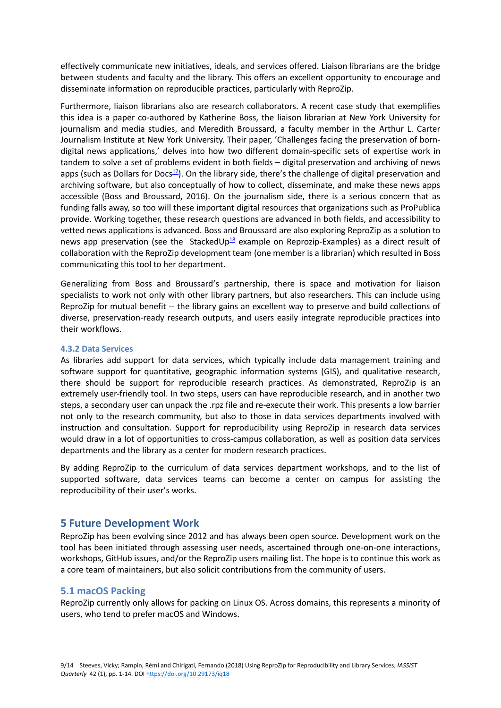effectively communicate new initiatives, ideals, and services offered. Liaison librarians are the bridge between students and faculty and the library. This offers an excellent opportunity to encourage and disseminate information on reproducible practices, particularly with ReproZip.

Furthermore, liaison librarians also are research collaborators. A recent case study that exemplifies this idea is a paper co-authored by Katherine Boss, the liaison librarian at New York University for journalism and media studies, and Meredith Broussard, a faculty member in the Arthur L. Carter Journalism Institute at New York University. Their paper, 'Challenges facing the preservation of borndigital news applications,' delves into how two different domain-specific sets of expertise work in tandem to solve a set of problems evident in both fields – digital preservation and archiving of news apps (such as [Dollars for Docs](https://projects.propublica.org/docdollars/)<sup>17</sup>). On the library side, there's the challenge of digital preservation and archiving software, but also conceptually of how to collect, disseminate, and make these news apps accessible (Boss and Broussard, 2016). On the journalism side, there is a serious concern that as funding falls away, so too will these important digital resources that organizations such as ProPublica provide. Working together, these research questions are advanced in both fields, and accessibility to vetted news applications is advanced. Boss and Broussard are also exploring ReproZip as a solution to news app preservation (see the [StackedUp](https://github.com/ViDA-NYU/reprozip-examples/tree/master/stacked-up) $^{18}$  example on Reprozip-Examples) as a direct result of collaboration with the ReproZip development team (one member is a librarian) which resulted in Boss communicating this tool to her department.

Generalizing from Boss and Broussard's partnership, there is space and motivation for liaison specialists to work not only with other library partners, but also researchers. This can include using ReproZip for mutual benefit -- the library gains an excellent way to preserve and build collections of diverse, preservation-ready research outputs, and users easily integrate reproducible practices into their workflows.

#### **4.3.2 Data Services**

As libraries add support for data services, which typically include data management training and software support for quantitative, geographic information systems (GIS), and qualitative research, there should be support for reproducible research practices. As demonstrated, ReproZip is an extremely user-friendly tool. In two steps, users can have reproducible research, and in another two steps, a secondary user can unpack the .rpz file and re-execute their work. This presents a low barrier not only to the research community, but also to those in data services departments involved with instruction and consultation. Support for reproducibility using ReproZip in research data services would draw in a lot of opportunities to cross-campus collaboration, as well as position data services departments and the library as a center for modern research practices.

By adding ReproZip to the curriculum of data services department workshops, and to the list of supported software, data services teams can become a center on campus for assisting the reproducibility of their user's works.

### **5 Future Development Work**

ReproZip has been evolving since 2012 and has always been open source. Development work on the tool has been initiated through assessing user needs, ascertained through one-on-one interactions, workshops, GitHub issues, and/or the ReproZip users mailing list. The hope is to continue this work as a core team of maintainers, but also solicit contributions from the community of users.

#### **5.1 macOS Packing**

ReproZip currently only allows for packing on Linux OS. Across domains, this represents a minority of users, who tend to prefer macOS and Windows.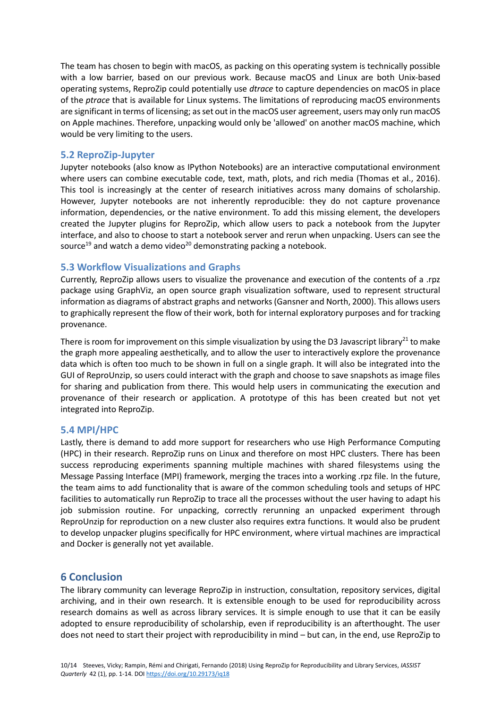The team has chosen to begin with macOS, as packing on this operating system is technically possible with a low barrier, based on our previous work. Because macOS and Linux are both Unix-based operating systems, ReproZip could potentially use *dtrace* to capture dependencies on macOS in place of the *ptrace* that is available for Linux systems. The limitations of reproducing macOS environments are significant in terms of licensing; as set out in the macOS user agreement, users may only run macOS on Apple machines. Therefore, unpacking would only be 'allowed' on another macOS machine, which would be very limiting to the users.

### **5.2 ReproZip-Jupyter**

Jupyter notebooks (also know as IPython Notebooks) are an interactive computational environment where users can combine executable code, text, math, plots, and rich media (Thomas et al., 2016). This tool is increasingly at the center of research initiatives across many domains of scholarship. However, Jupyter notebooks are not inherently reproducible: they do not capture provenance information, dependencies, or the native environment. To add this missing element, the developers created the Jupyter plugins for ReproZip, which allow users to pack a notebook from the Jupyter interface, and also to choose to start a notebook server and rerun when unpacking. Users can see the [source](https://github.com/ViDA-NYU/reprozip/tree/ipython)<sup>19</sup> and watch [a demo video](https://www.youtube.com/watch?v=Y8YmGVYHhS8)<sup>20</sup> demonstrating packing a notebook.

#### **5.3 Workflow Visualizations and Graphs**

Currently, ReproZip allows users to visualize the provenance and execution of the contents of a .rpz package using GraphViz, an open source graph visualization software, used to represent structural information as diagrams of abstract graphs and networks (Gansner and North, 2000). This allows users to graphically represent the flow of their work, both for internal exploratory purposes and for tracking provenance.

There is room for improvement on this simple visualization by using the D3 Javascript library<sup>21</sup> to make the graph more appealing aesthetically, and to allow the user to interactively explore the provenance data which is often too much to be shown in full on a single graph. It will also be integrated into the GUI of ReproUnzip, so users could interact with the graph and choose to save snapshots as image files for sharing and publication from there. This would help users in communicating the execution and provenance of their research or application. A prototype of this has been created but not yet integrated into ReproZip.

#### **5.4 MPI/HPC**

Lastly, there is demand to add more support for researchers who use High Performance Computing (HPC) in their research. ReproZip runs on Linux and therefore on most HPC clusters. There has been success reproducing experiments spanning multiple machines with shared filesystems using the Message Passing Interface (MPI) framework, merging the traces into a working .rpz file. In the future, the team aims to add functionality that is aware of the common scheduling tools and setups of HPC facilities to automatically run ReproZip to trace all the processes without the user having to adapt his job submission routine. For unpacking, correctly rerunning an unpacked experiment through ReproUnzip for reproduction on a new cluster also requires extra functions. It would also be prudent to develop unpacker plugins specifically for HPC environment, where virtual machines are impractical and Docker is generally not yet available.

# **6 Conclusion**

The library community can leverage ReproZip in instruction, consultation, repository services, digital archiving, and in their own research. It is extensible enough to be used for reproducibility across research domains as well as across library services. It is simple enough to use that it can be easily adopted to ensure reproducibility of scholarship, even if reproducibility is an afterthought. The user does not need to start their project with reproducibility in mind – but can, in the end, use ReproZip to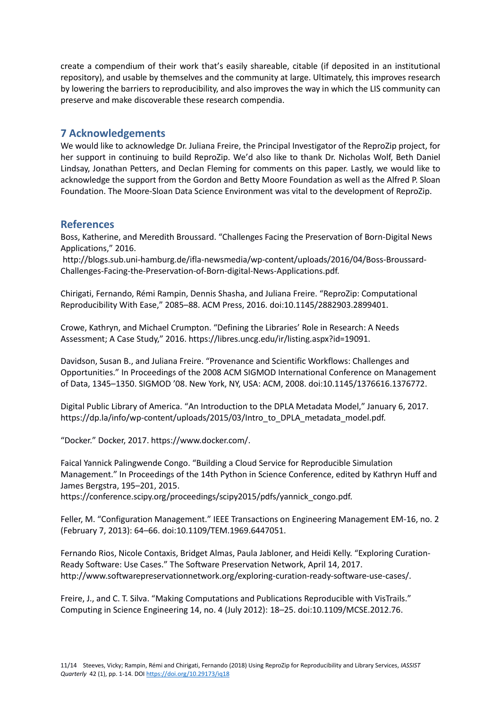create a compendium of their work that's easily shareable, citable (if deposited in an institutional repository), and usable by themselves and the community at large. Ultimately, this improves research by lowering the barriers to reproducibility, and also improves the way in which the LIS community can preserve and make discoverable these research compendia.

## **7 Acknowledgements**

We would like to acknowledge Dr. Juliana Freire, the Principal Investigator of the ReproZip project, for her support in continuing to build ReproZip. We'd also like to thank Dr. Nicholas Wolf, Beth Daniel Lindsay, Jonathan Petters, and Declan Fleming for comments on this paper. Lastly, we would like to acknowledge the support from the Gordon and Betty Moore Foundation as well as the Alfred P. Sloan Foundation. The Moore-Sloan Data Science Environment was vital to the development of ReproZip.

# **References**

Boss, Katherine, and Meredith Broussard. "Challenges Facing the Preservation of Born-Digital News Applications," 2016.

http://blogs.sub.uni-hamburg.de/ifla-newsmedia/wp-content/uploads/2016/04/Boss-Broussard-Challenges-Facing-the-Preservation-of-Born-digital-News-Applications.pdf.

Chirigati, Fernando, Rémi Rampin, Dennis Shasha, and Juliana Freire. "ReproZip: Computational Reproducibility With Ease," 2085–88. ACM Press, 2016. doi:10.1145/2882903.2899401.

Crowe, Kathryn, and Michael Crumpton. "Defining the Libraries' Role in Research: A Needs Assessment; A Case Study," 2016. https://libres.uncg.edu/ir/listing.aspx?id=19091.

Davidson, Susan B., and Juliana Freire. "Provenance and Scientific Workflows: Challenges and Opportunities." In Proceedings of the 2008 ACM SIGMOD International Conference on Management of Data, 1345–1350. SIGMOD '08. New York, NY, USA: ACM, 2008. doi:10.1145/1376616.1376772.

Digital Public Library of America. "An Introduction to the DPLA Metadata Model," January 6, 2017. https://dp.la/info/wp-content/uploads/2015/03/Intro\_to\_DPLA\_metadata\_model.pdf.

"Docker." Docker, 2017. https://www.docker.com/.

Faical Yannick Palingwende Congo. "Building a Cloud Service for Reproducible Simulation Management." In Proceedings of the 14th Python in Science Conference, edited by Kathryn Huff and James Bergstra, 195–201, 2015.

https://conference.scipy.org/proceedings/scipy2015/pdfs/yannick\_congo.pdf.

Feller, M. "Configuration Management." IEEE Transactions on Engineering Management EM-16, no. 2 (February 7, 2013): 64–66. doi:10.1109/TEM.1969.6447051.

Fernando Rios, Nicole Contaxis, Bridget Almas, Paula Jabloner, and Heidi Kelly. "Exploring Curation-Ready Software: Use Cases." The Software Preservation Network, April 14, 2017. http://www.softwarepreservationnetwork.org/exploring-curation-ready-software-use-cases/.

Freire, J., and C. T. Silva. "Making Computations and Publications Reproducible with VisTrails." Computing in Science Engineering 14, no. 4 (July 2012): 18–25. doi:10.1109/MCSE.2012.76.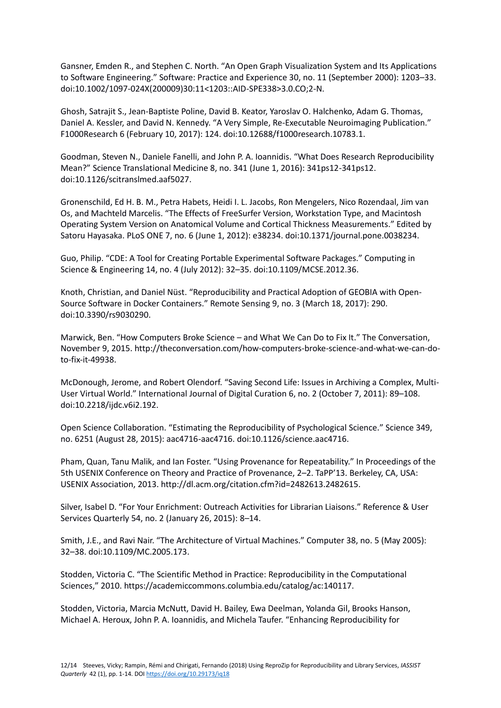Gansner, Emden R., and Stephen C. North. "An Open Graph Visualization System and Its Applications to Software Engineering." Software: Practice and Experience 30, no. 11 (September 2000): 1203–33. doi:10.1002/1097-024X(200009)30:11<1203::AID-SPE338>3.0.CO;2-N.

Ghosh, Satrajit S., Jean-Baptiste Poline, David B. Keator, Yaroslav O. Halchenko, Adam G. Thomas, Daniel A. Kessler, and David N. Kennedy. "A Very Simple, Re-Executable Neuroimaging Publication." F1000Research 6 (February 10, 2017): 124. doi:10.12688/f1000research.10783.1.

Goodman, Steven N., Daniele Fanelli, and John P. A. Ioannidis. "What Does Research Reproducibility Mean?" Science Translational Medicine 8, no. 341 (June 1, 2016): 341ps12-341ps12. doi:10.1126/scitranslmed.aaf5027.

Gronenschild, Ed H. B. M., Petra Habets, Heidi I. L. Jacobs, Ron Mengelers, Nico Rozendaal, Jim van Os, and Machteld Marcelis. "The Effects of FreeSurfer Version, Workstation Type, and Macintosh Operating System Version on Anatomical Volume and Cortical Thickness Measurements." Edited by Satoru Hayasaka. PLoS ONE 7, no. 6 (June 1, 2012): e38234. doi:10.1371/journal.pone.0038234.

Guo, Philip. "CDE: A Tool for Creating Portable Experimental Software Packages." Computing in Science & Engineering 14, no. 4 (July 2012): 32–35. doi:10.1109/MCSE.2012.36.

Knoth, Christian, and Daniel Nüst. "Reproducibility and Practical Adoption of GEOBIA with Open-Source Software in Docker Containers." Remote Sensing 9, no. 3 (March 18, 2017): 290. doi:10.3390/rs9030290.

Marwick, Ben. "How Computers Broke Science – and What We Can Do to Fix It." The Conversation, November 9, 2015. http://theconversation.com/how-computers-broke-science-and-what-we-can-doto-fix-it-49938.

McDonough, Jerome, and Robert Olendorf. "Saving Second Life: Issues in Archiving a Complex, Multi-User Virtual World." International Journal of Digital Curation 6, no. 2 (October 7, 2011): 89–108. doi:10.2218/ijdc.v6i2.192.

Open Science Collaboration. "Estimating the Reproducibility of Psychological Science." Science 349, no. 6251 (August 28, 2015): aac4716-aac4716. doi:10.1126/science.aac4716.

Pham, Quan, Tanu Malik, and Ian Foster. "Using Provenance for Repeatability." In Proceedings of the 5th USENIX Conference on Theory and Practice of Provenance, 2–2. TaPP'13. Berkeley, CA, USA: USENIX Association, 2013. http://dl.acm.org/citation.cfm?id=2482613.2482615.

Silver, Isabel D. "For Your Enrichment: Outreach Activities for Librarian Liaisons." Reference & User Services Quarterly 54, no. 2 (January 26, 2015): 8–14.

Smith, J.E., and Ravi Nair. "The Architecture of Virtual Machines." Computer 38, no. 5 (May 2005): 32–38. doi:10.1109/MC.2005.173.

Stodden, Victoria C. "The Scientific Method in Practice: Reproducibility in the Computational Sciences," 2010. https://academiccommons.columbia.edu/catalog/ac:140117.

Stodden, Victoria, Marcia McNutt, David H. Bailey, Ewa Deelman, Yolanda Gil, Brooks Hanson, Michael A. Heroux, John P. A. Ioannidis, and Michela Taufer. "Enhancing Reproducibility for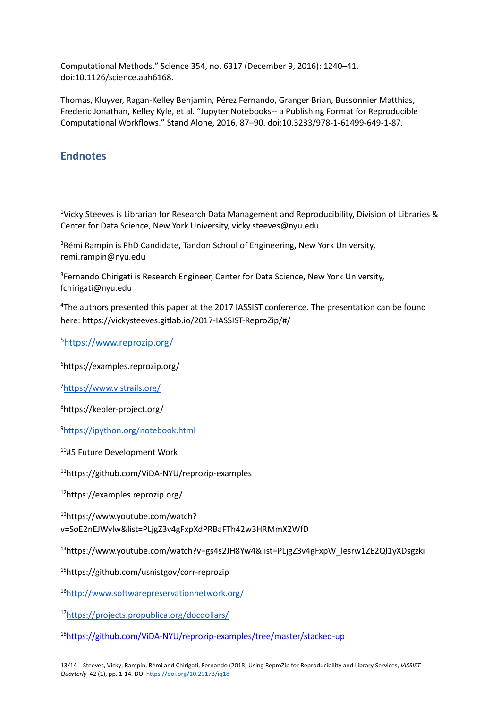Computational Methods." Science 354, no. 6317 (December 9, 2016): 1240–41. doi:10.1126/science.aah6168.

Thomas, Kluyver, Ragan-Kelley Benjamin, Pérez Fernando, Granger Brian, Bussonnier Matthias, Frederic Jonathan, Kelley Kyle, et al. "Jupyter Notebooks-- a Publishing Format for Reproducible Computational Workflows." Stand Alone, 2016, 87–90. doi:10.3233/978-1-61499-649-1-87.

# **Endnotes**

**.** 

<sup>1</sup>Vicky Steeves is Librarian for Research Data Management and Reproducibility, Division of Libraries & Center for Data Science, New York University[, vicky.steeves@nyu.edu](mailto:vicky.steeves@nyu.edu)

<sup>2</sup>Rémi Rampin is PhD Candidate, Tandon School of Engineering, New York University, [remi.rampin@nyu.edu](mailto:remi.rampin@nyu.edu)

<sup>3</sup>Fernando Chirigati is Research Engineer, Center for Data Science, New York University, [fchirigati@nyu.edu](mailto:fchirigati@nyu.edu)

<sup>4</sup>The authors presented this paper at the 2017 IASSIST conference. The presentation can be found here:<https://vickysteeves.gitlab.io/2017-IASSIST-ReproZip/#/>

<sup>5</sup><https://www.reprozip.org/>

<sup>6</sup><https://examples.reprozip.org/>

<sup>7</sup><https://www.vistrails.org/>

<sup>8</sup><https://kepler-project.org/>

<sup>9</sup><https://ipython.org/notebook.html>

<sup>10</sup>#5 Future Development Work

<sup>11</sup><https://github.com/ViDA-NYU/reprozip-examples>

<sup>12</sup><https://examples.reprozip.org/>

<sup>13</sup>[https://www.youtube.com/watch?](https://www.youtube.com/watch?v=SoE2nEJWylw&list=PLjgZ3v4gFxpXdPRBaFTh42w3HRMmX2WfD)  [v=SoE2nEJWylw&list=PLjgZ3v4gFxpXdPRBaFTh42w3HRMmX2WfD](https://www.youtube.com/watch?v=SoE2nEJWylw&list=PLjgZ3v4gFxpXdPRBaFTh42w3HRMmX2WfD)

<sup>14</sup>[https://www.youtube.com/watch?v=gs4s2JH8Yw4&list=PLjgZ3v4gFxpW\\_lesrw1ZE2Ql1yXDsgzki](https://www.youtube.com/watch?v=gs4s2JH8Yw4&list=PLjgZ3v4gFxpW_lesrw1ZE2Ql1yXDsgzki)

<sup>15</sup><https://github.com/usnistgov/corr-reprozip>

<sup>16</sup><http://www.softwarepreservationnetwork.org/>

<sup>17</sup><https://projects.propublica.org/docdollars/>

<sup>18</sup><https://github.com/ViDA-NYU/reprozip-examples/tree/master/stacked-up>